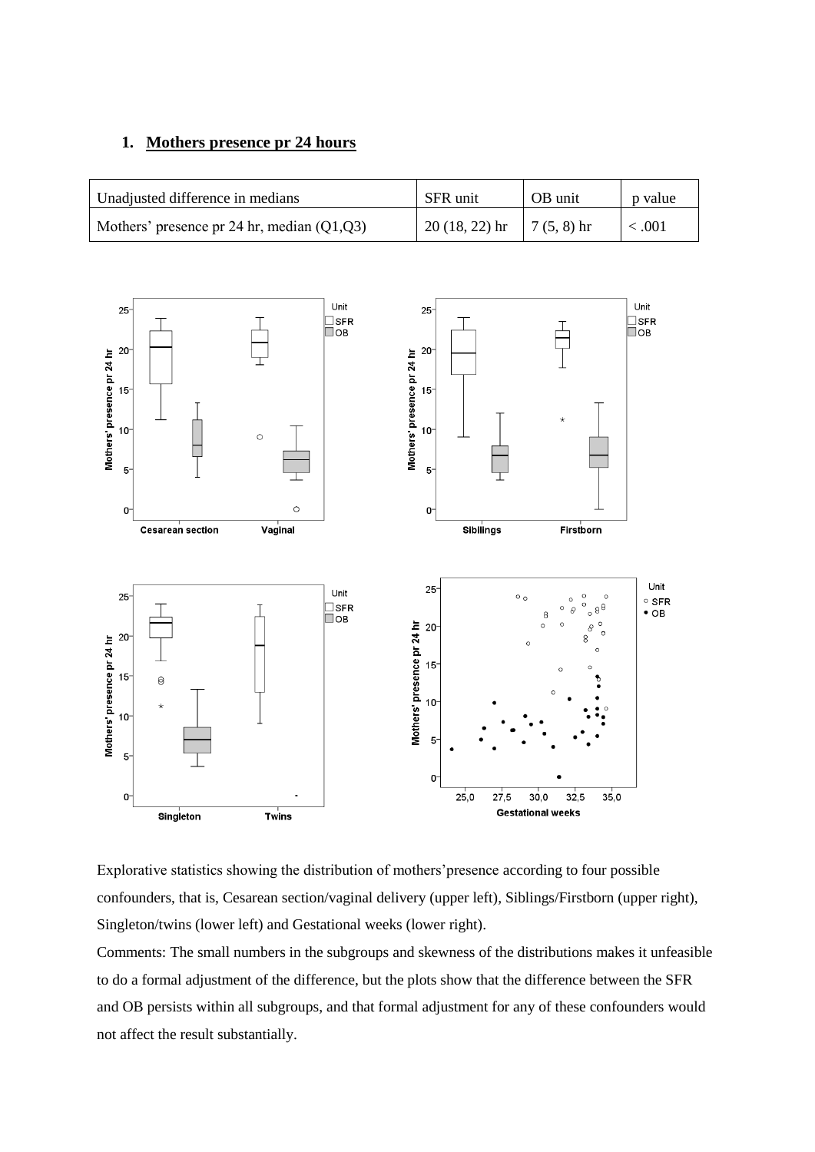#### **1. Mothers presence pr 24 hours**

| Unadjusted difference in medians             | SFR unit                            | OB unit | p value     |
|----------------------------------------------|-------------------------------------|---------|-------------|
| Mothers' presence pr 24 hr, median $(Q1,Q3)$ | $20(18, 22)$ hr $\left[ 7(5, 8)$ hr |         | $\leq .001$ |



Explorative statistics showing the distribution of mothers'presence according to four possible confounders, that is, Cesarean section/vaginal delivery (upper left), Siblings/Firstborn (upper right), Singleton/twins (lower left) and Gestational weeks (lower right).

Comments: The small numbers in the subgroups and skewness of the distributions makes it unfeasible to do a formal adjustment of the difference, but the plots show that the difference between the SFR and OB persists within all subgroups, and that formal adjustment for any of these confounders would not affect the result substantially.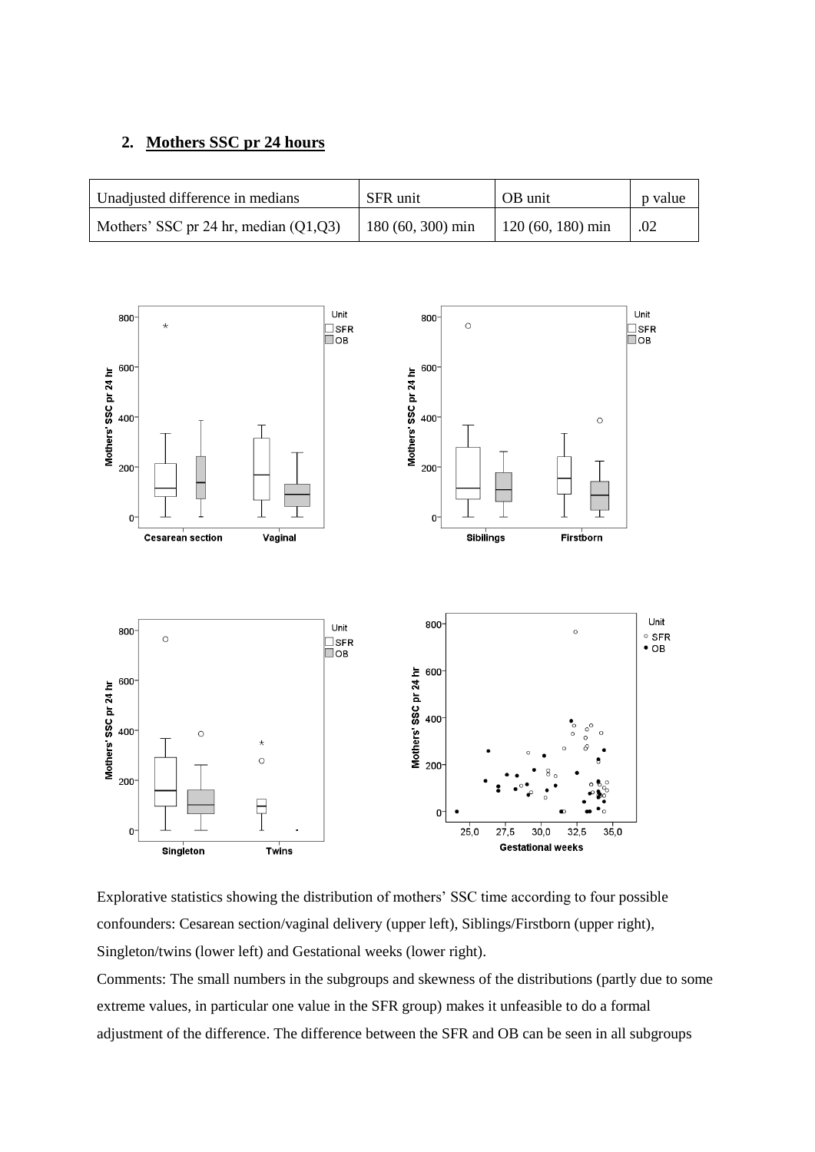#### **2. Mothers SSC pr 24 hours**

| Unadjusted difference in medians        | SFR unit          | OB unit            | p value |
|-----------------------------------------|-------------------|--------------------|---------|
| Mothers' SSC pr 24 hr, median $(Q1,Q3)$ | 180 (60, 300) min | $120(60, 180)$ min | .02     |



Explorative statistics showing the distribution of mothers' SSC time according to four possible confounders: Cesarean section/vaginal delivery (upper left), Siblings/Firstborn (upper right), Singleton/twins (lower left) and Gestational weeks (lower right).

Comments: The small numbers in the subgroups and skewness of the distributions (partly due to some extreme values, in particular one value in the SFR group) makes it unfeasible to do a formal adjustment of the difference. The difference between the SFR and OB can be seen in all subgroups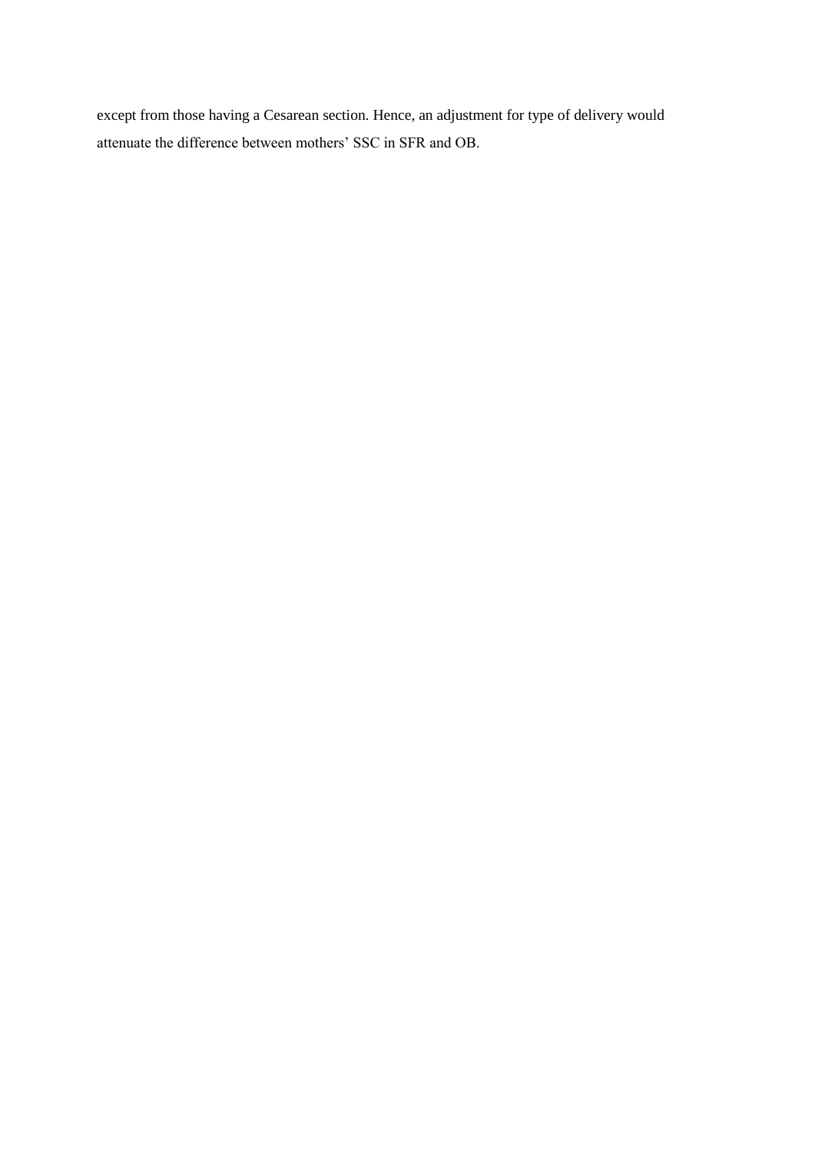except from those having a Cesarean section. Hence, an adjustment for type of delivery would attenuate the difference between mothers' SSC in SFR and OB.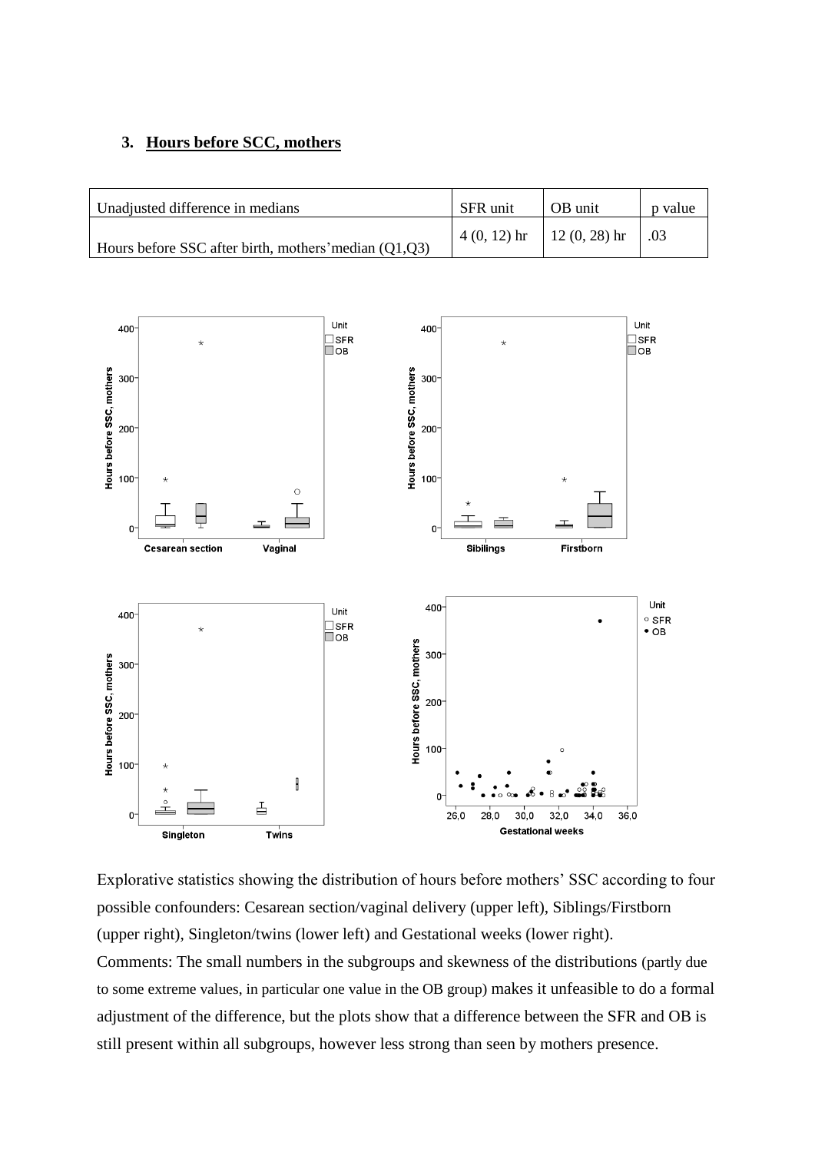## **3. Hours before SCC, mothers**

| Unadjusted difference in medians                      | SFR unit | <b>OB</b> unit                  | p value     |
|-------------------------------------------------------|----------|---------------------------------|-------------|
| Hours before SSC after birth, mothers' median (Q1,Q3) |          | $4(0, 12)$ hr   12 $(0, 28)$ hr | $\vert$ .03 |



Explorative statistics showing the distribution of hours before mothers' SSC according to four possible confounders: Cesarean section/vaginal delivery (upper left), Siblings/Firstborn (upper right), Singleton/twins (lower left) and Gestational weeks (lower right). Comments: The small numbers in the subgroups and skewness of the distributions (partly due to some extreme values, in particular one value in the OB group) makes it unfeasible to do a formal adjustment of the difference, but the plots show that a difference between the SFR and OB is still present within all subgroups, however less strong than seen by mothers presence.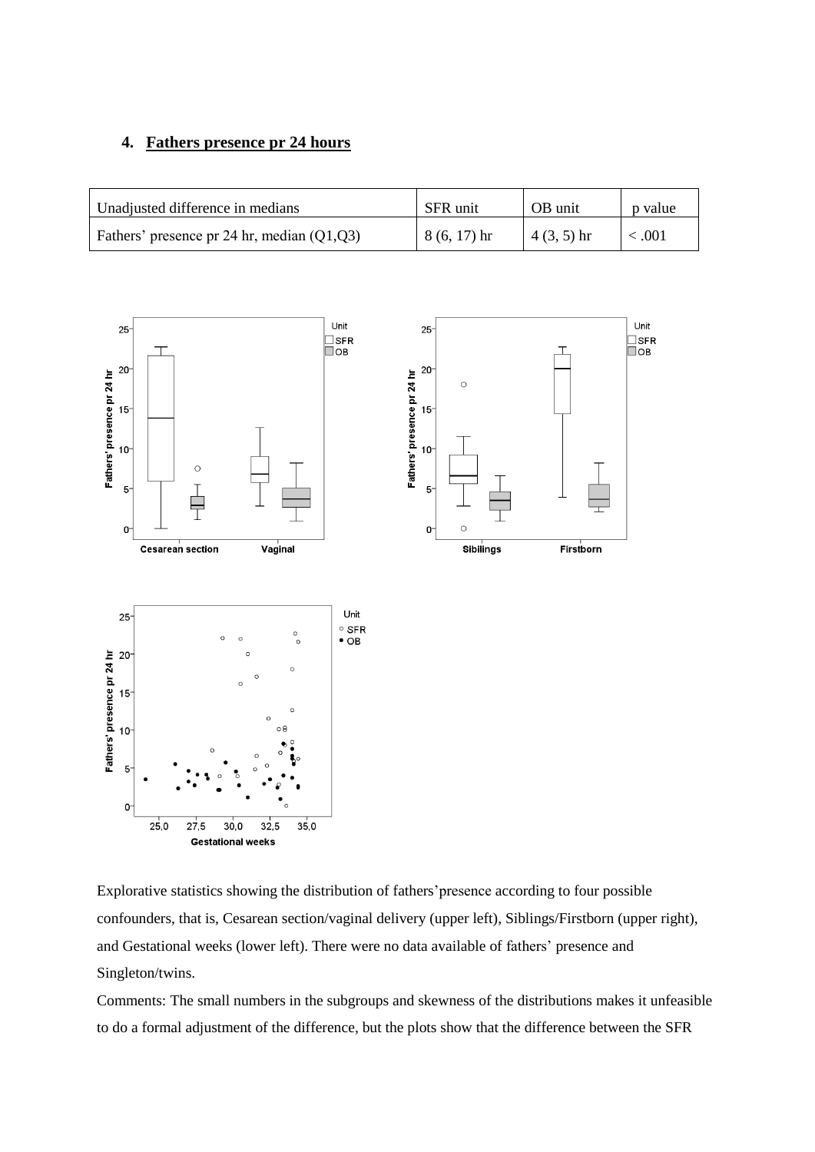## **4. Fathers presence pr 24 hours**

| Unadjusted difference in medians             | SFR unit      | OB unit      | p value     |
|----------------------------------------------|---------------|--------------|-------------|
| Fathers' presence pr 24 hr, median $(Q1,Q3)$ | $8(6, 17)$ hr | $4(3, 5)$ hr | $\leq .001$ |



**Gestational weeks** 

Explorative statistics showing the distribution of fathers'presence according to four possible confounders, that is, Cesarean section/vaginal delivery (upper left), Siblings/Firstborn (upper right), and Gestational weeks (lower left). There were no data available of fathers' presence and Singleton/twins.

Comments: The small numbers in the subgroups and skewness of the distributions makes it unfeasible to do a formal adjustment of the difference, but the plots show that the difference between the SFR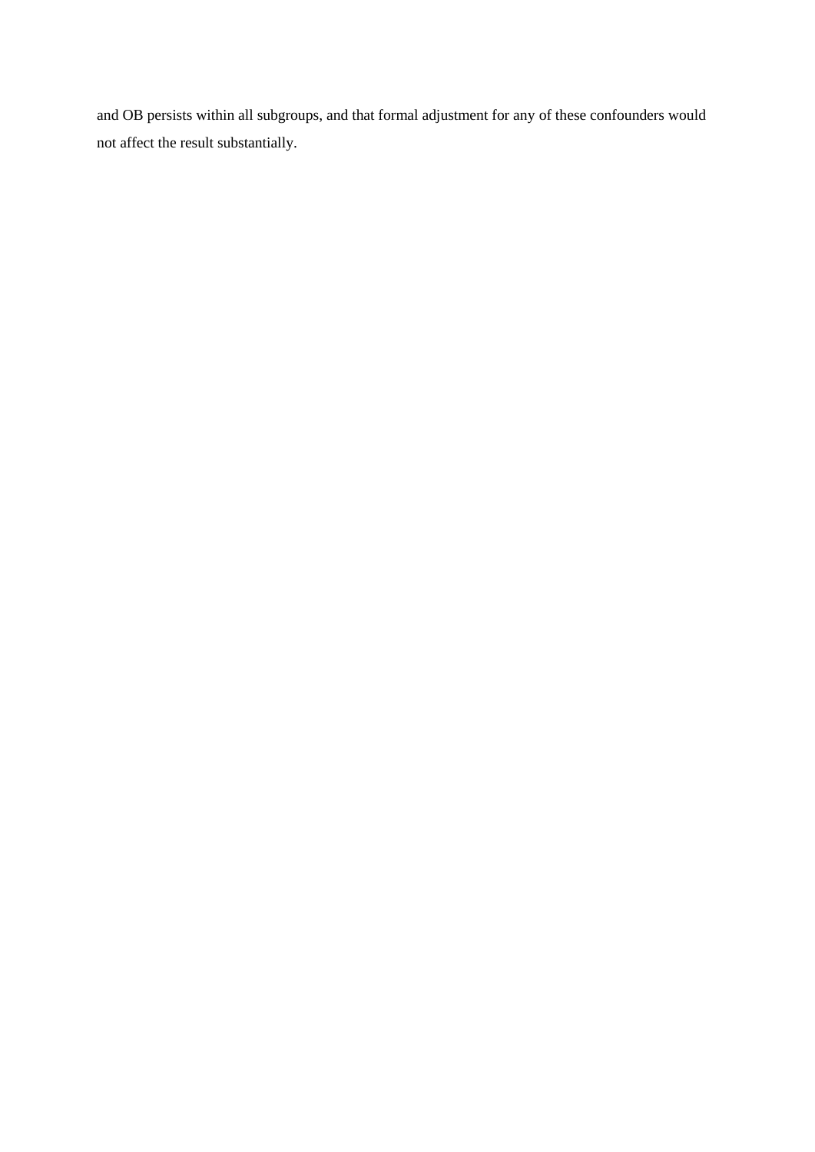and OB persists within all subgroups, and that formal adjustment for any of these confounders would not affect the result substantially.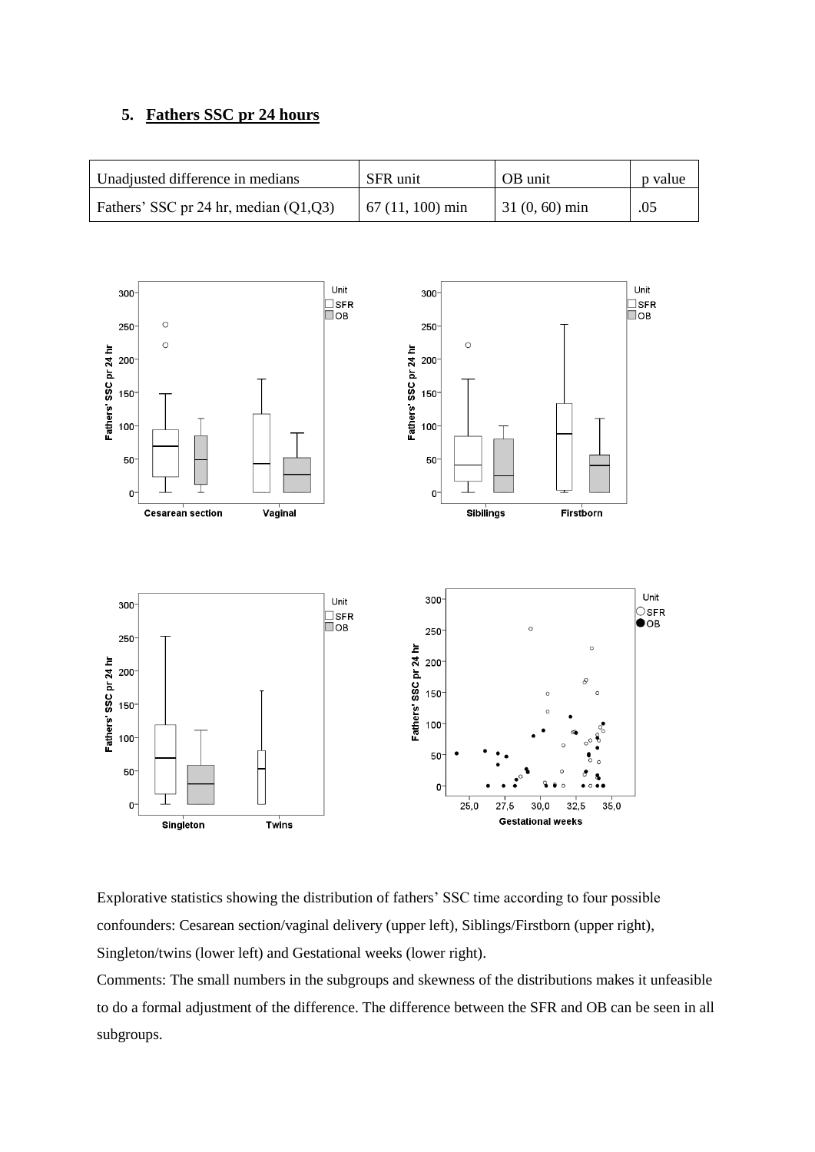## **5. Fathers SSC pr 24 hours**

| Unadjusted difference in medians        | SFR unit          | OB unit         | p value |
|-----------------------------------------|-------------------|-----------------|---------|
| Fathers' SSC pr 24 hr, median $(Q1,Q3)$ | $67(11, 100)$ min | $31(0, 60)$ min | .05     |



Explorative statistics showing the distribution of fathers' SSC time according to four possible confounders: Cesarean section/vaginal delivery (upper left), Siblings/Firstborn (upper right), Singleton/twins (lower left) and Gestational weeks (lower right).

Comments: The small numbers in the subgroups and skewness of the distributions makes it unfeasible to do a formal adjustment of the difference. The difference between the SFR and OB can be seen in all subgroups.